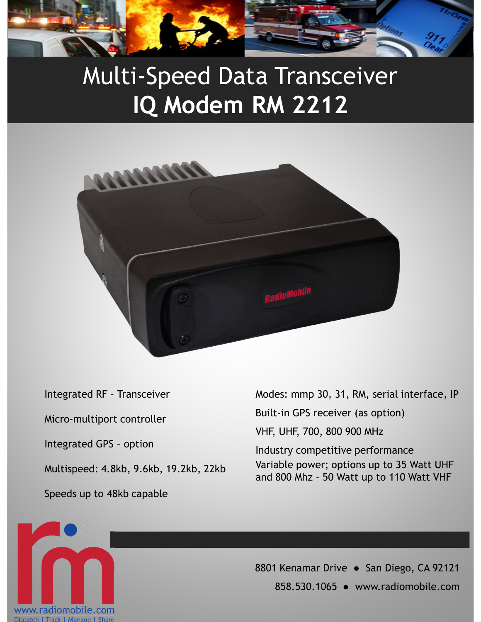

## Multi-Speed Data Transceiver **IQ Modem RM 2212**



Integrated RF - Transceiver Micro-multiport controller Integrated GPS – option Multispeed: 4.8kb, 9.6kb, 19.2kb, 22kb Speeds up to 48kb capable

Modes: mmp 30, 31, RM, serial interface, IP Built-in GPS receiver (as option) VHF, UHF, 700, 800 900 MHz Industry competitive performance Variable power; options up to 35 Watt UHF and 800 Mhz – 50 Watt up to 110 Watt VHF



8801 Kenamar Drive · San Diego, CA 92121 858.530.1065 ● www.radiomobile.com